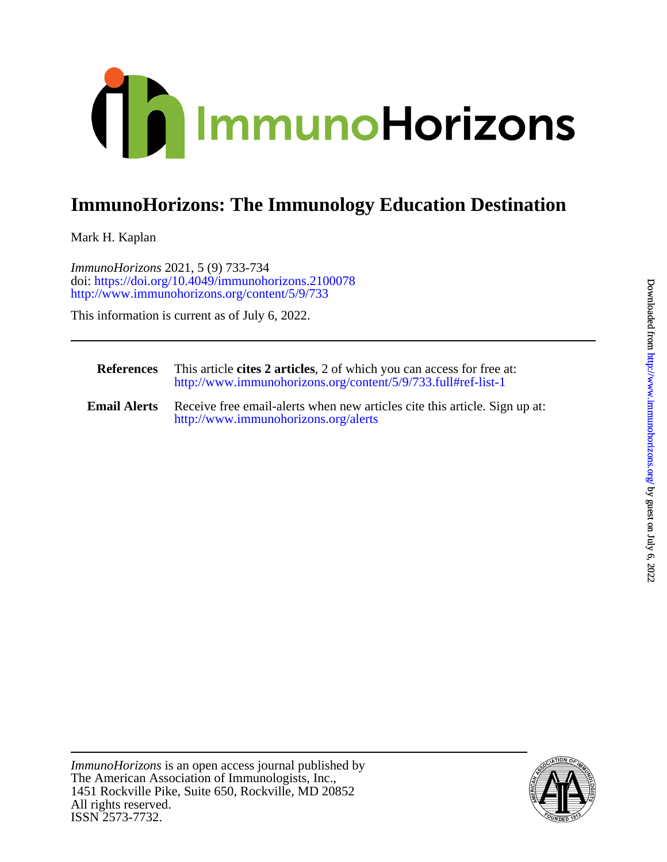

## **ImmunoHorizons: The Immunology Education Destination**

Mark H. Kaplan

<http://www.immunohorizons.org/content/5/9/733> doi:<https://doi.org/10.4049/immunohorizons.2100078> *ImmunoHorizons* 2021, 5 (9) 733-734

This information is current as of July 6, 2022.

| <b>References</b>   | This article cites 2 articles, 2 of which you can access for free at:<br>http://www.immunohorizons.org/content/5/9/733.full#ref-list-1 |
|---------------------|----------------------------------------------------------------------------------------------------------------------------------------|
| <b>Email Alerts</b> | Receive free email-alerts when new articles cite this article. Sign up at:<br>http://www.immunohorizons.org/alerts                     |

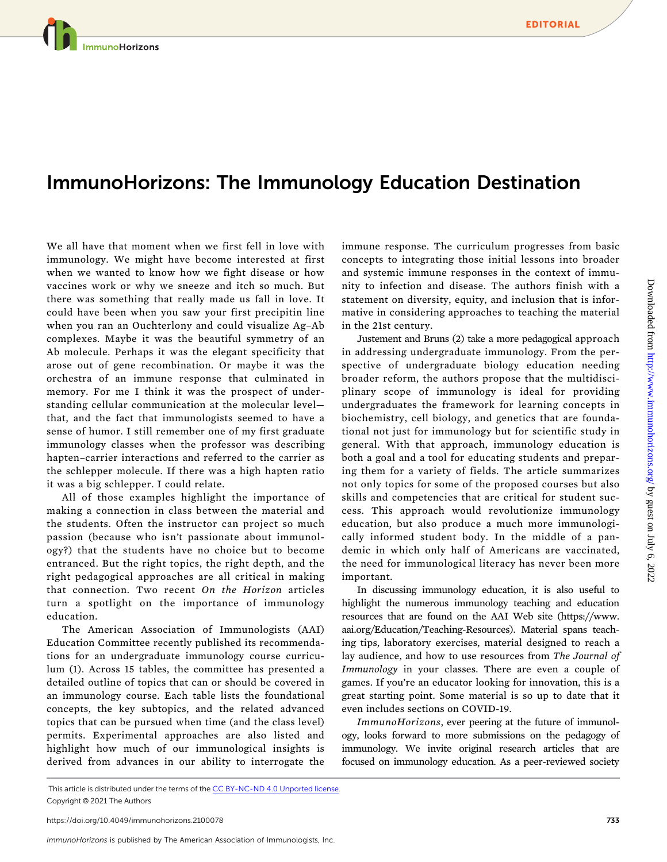## ImmunoHorizons: The Immunology Education Destination

We all have that moment when we first fell in love with immunology. We might have become interested at first when we wanted to know how we fight disease or how vaccines work or why we sneeze and itch so much. But there was something that really made us fall in love. It could have been when you saw your first precipitin line when you ran an Ouchterlony and could visualize Ag-Ab complexes. Maybe it was the beautiful symmetry of an Ab molecule. Perhaps it was the elegant specificity that arose out of gene recombination. Or maybe it was the orchestra of an immune response that culminated in memory. For me I think it was the prospect of understanding cellular communication at the molecular level that, and the fact that immunologists seemed to have a sense of humor. I still remember one of my first graduate immunology classes when the professor was describing hapten-carrier interactions and referred to the carrier as the schlepper molecule. If there was a high hapten ratio it was a big schlepper. I could relate.

All of those examples highlight the importance of making a connection in class between the material and the students. Often the instructor can project so much passion (because who isn't passionate about immunology?) that the students have no choice but to become entranced. But the right topics, the right depth, and the right pedagogical approaches are all critical in making that connection. Two recent On the Horizon articles turn a spotlight on the importance of immunology education.

The American Association of Immunologists (AAI) Education Committee recently published its recommendations for an undergraduate immunology course curriculum (1). Across 15 tables, the committee has presented a detailed outline of topics that can or should be covered in an immunology course. Each table lists the foundational concepts, the key subtopics, and the related advanced topics that can be pursued when time (and the class level) permits. Experimental approaches are also listed and highlight how much of our immunological insights is derived from advances in our ability to interrogate the

immune response. The curriculum progresses from basic concepts to integrating those initial lessons into broader and systemic immune responses in the context of immunity to infection and disease. The authors finish with a statement on diversity, equity, and inclusion that is informative in considering approaches to teaching the material in the 21st century.

Justement and Bruns (2) take a more pedagogical approach in addressing undergraduate immunology. From the perspective of undergraduate biology education needing broader reform, the authors propose that the multidisciplinary scope of immunology is ideal for providing undergraduates the framework for learning concepts in biochemistry, cell biology, and genetics that are foundational not just for immunology but for scientific study in general. With that approach, immunology education is both a goal and a tool for educating students and preparing them for a variety of fields. The article summarizes not only topics for some of the proposed courses but also skills and competencies that are critical for student success. This approach would revolutionize immunology education, but also produce a much more immunologically informed student body. In the middle of a pandemic in which only half of Americans are vaccinated, the need for immunological literacy has never been more important.

In discussing immunology education, it is also useful to highlight the numerous immunology teaching and education resources that are found on the AAI Web site [\(https://www.](https://www.aai.org/Education/Teaching-Resources) [aai.org/Education/Teaching-Resources](https://www.aai.org/Education/Teaching-Resources)). Material spans teaching tips, laboratory exercises, material designed to reach a lay audience, and how to use resources from The Journal of Immunology in your classes. There are even a couple of games. If you're an educator looking for innovation, this is a great starting point. Some material is so up to date that it even includes sections on COVID-19.

ImmunoHorizons, ever peering at the future of immunology, looks forward to more submissions on the pedagogy of immunology. We invite original research articles that are focused on immunology education. As a peer-reviewed society

This article is distributed under the terms of the [CC BY-NC-ND 4.0 Unported license](https://creativecommons.org/licenses/by-nc-nd/4.0/). Copyright © 2021 The Authors